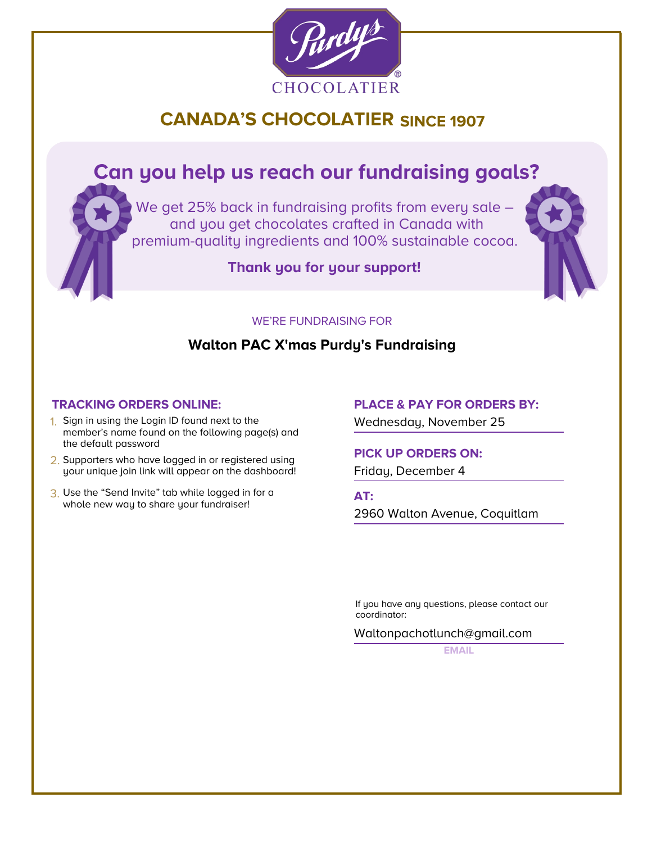

# **CANADA'S CHOCOLATIER SINCE 1907**

# **Can you help us reach our fundraising goals?**

We get 25% back in fundraising profits from every sale and you get chocolates crafted in Canada with premium-quality ingredients and 100% sustainable cocoa.

**Thank you for your support!**



### WE'RE FUNDRAISING FOR

### **Walton PAC X'mas Purdy's Fundraising**

- 1. Sign in using the Login ID found next to the member's name found on the following page(s) and the default password
- **PICK UP ORDERS ON:**<br> **PICK UP ORDERS ON:**<br>
your unique join link will appear on the dashboard! Friday, December 4 your unique join link will appear on the dashboard!
- 3. Use the "Send Invite" tab while logged in for a Use the "Send Invite" tab while logged in for a<br>whole new way to share your fundraiser!

## **TRACKING ORDERS ONLINE: PLACE & PAY FOR ORDERS BY:**

Wednesday, November 25

2960 Walton Avenue, Coquitlam

If you have any questions, please contact our coordinator:

Waltonpachotlunch@gmail.com

**EMAIL**